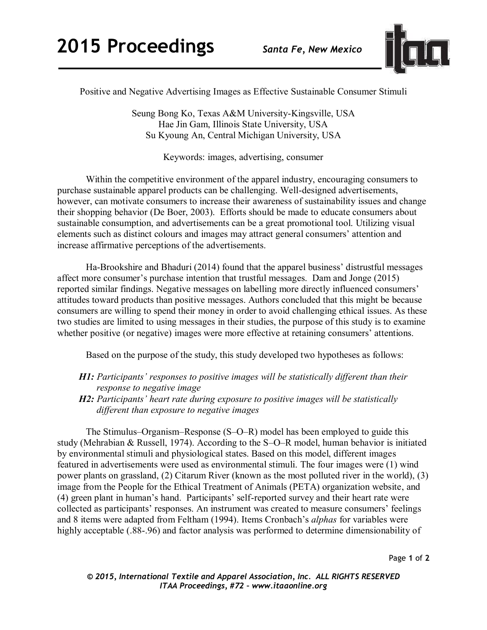

Positive and Negative Advertising Images as Effective Sustainable Consumer Stimuli

Seung Bong Ko, Texas A&M University-Kingsville, USA Hae Jin Gam, Illinois State University, USA Su Kyoung An, Central Michigan University, USA

Keywords: images, advertising, consumer

Within the competitive environment of the apparel industry, encouraging consumers to purchase sustainable apparel products can be challenging. Well-designed advertisements, however, can motivate consumers to increase their awareness of sustainability issues and change their shopping behavior (De Boer, 2003). Efforts should be made to educate consumers about sustainable consumption, and advertisements can be a great promotional tool. Utilizing visual elements such as distinct colours and images may attract general consumers' attention and increase affirmative perceptions of the advertisements.

Ha-Brookshire and Bhaduri (2014) found that the apparel business' distrustful messages affect more consumer's purchase intention that trustful messages. Dam and Jonge (2015) reported similar findings. Negative messages on labelling more directly influenced consumers' attitudes toward products than positive messages. Authors concluded that this might be because consumers are willing to spend their money in order to avoid challenging ethical issues. As these two studies are limited to using messages in their studies, the purpose of this study is to examine whether positive (or negative) images were more effective at retaining consumers' attentions.

Based on the purpose of the study, this study developed two hypotheses as follows:

- *H1: Participants' responses to positive images will be statistically different than their response to negative image*
- *H2: Participants' heart rate during exposure to positive images will be statistically different than exposure to negative images*

The Stimulus–Organism–Response (S–O–R) model has been employed to guide this study (Mehrabian & Russell, 1974). According to the S–O–R model, human behavior is initiated by environmental stimuli and physiological states. Based on this model, different images featured in advertisements were used as environmental stimuli. The four images were (1) wind power plants on grassland, (2) Citarum River (known as the most polluted river in the world), (3) image from the People for the Ethical Treatment of Animals (PETA) organization website, and (4) green plant in human's hand. Participants' self-reported survey and their heart rate were collected as participants' responses. An instrument was created to measure consumers' feelings and 8 items were adapted from Feltham (1994). Items Cronbach's *alphas* for variables were highly acceptable (.88-.96) and factor analysis was performed to determine dimensionability of

Page **1** of **2**